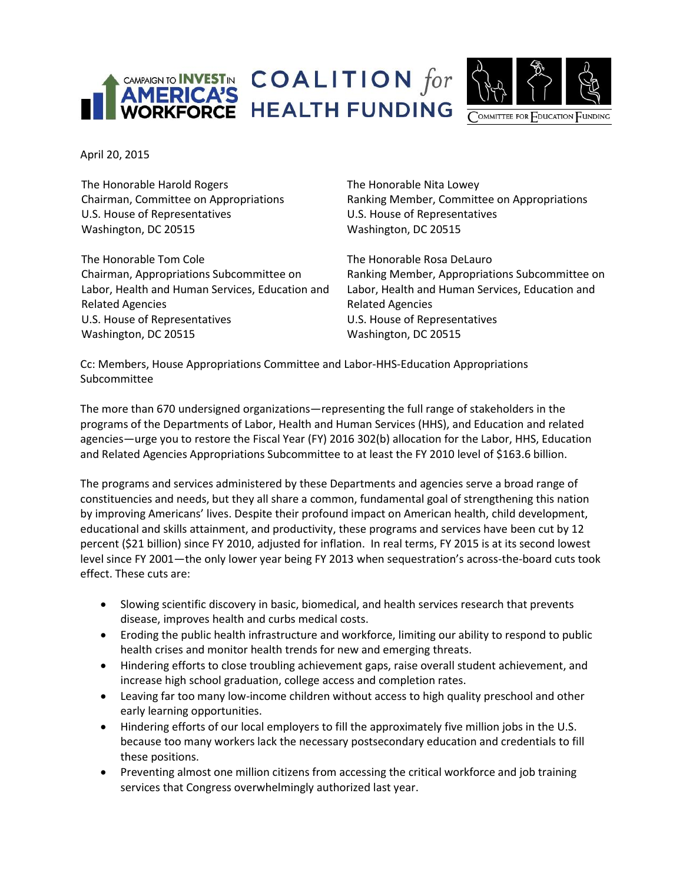



April 20, 2015

The Honorable Harold Rogers Chairman, Committee on Appropriations U.S. House of Representatives Washington, DC 20515

The Honorable Tom Cole Chairman, Appropriations Subcommittee on Labor, Health and Human Services, Education and Related Agencies U.S. House of Representatives Washington, DC 20515

The Honorable Nita Lowey Ranking Member, Committee on Appropriations U.S. House of Representatives Washington, DC 20515

The Honorable Rosa DeLauro Ranking Member, Appropriations Subcommittee on Labor, Health and Human Services, Education and Related Agencies U.S. House of Representatives Washington, DC 20515

Cc: Members, House Appropriations Committee and Labor-HHS-Education Appropriations Subcommittee

The more than 670 undersigned organizations—representing the full range of stakeholders in the programs of the Departments of Labor, Health and Human Services (HHS), and Education and related agencies—urge you to restore the Fiscal Year (FY) 2016 302(b) allocation for the Labor, HHS, Education and Related Agencies Appropriations Subcommittee to at least the FY 2010 level of \$163.6 billion.

The programs and services administered by these Departments and agencies serve a broad range of constituencies and needs, but they all share a common, fundamental goal of strengthening this nation by improving Americans' lives. Despite their profound impact on American health, child development, educational and skills attainment, and productivity, these programs and services have been cut by 12 percent (\$21 billion) since FY 2010, adjusted for inflation. In real terms, FY 2015 is at its second lowest level since FY 2001—the only lower year being FY 2013 when sequestration's across-the-board cuts took effect. These cuts are:

- Slowing scientific discovery in basic, biomedical, and health services research that prevents disease, improves health and curbs medical costs.
- Eroding the public health infrastructure and workforce, limiting our ability to respond to public health crises and monitor health trends for new and emerging threats.
- Hindering efforts to close troubling achievement gaps, raise overall student achievement, and increase high school graduation, college access and completion rates.
- Leaving far too many low-income children without access to high quality preschool and other early learning opportunities.
- Hindering efforts of our local employers to fill the approximately five million jobs in the U.S. because too many workers lack the necessary postsecondary education and credentials to fill these positions.
- Preventing almost one million citizens from accessing the critical workforce and job training services that Congress overwhelmingly authorized last year.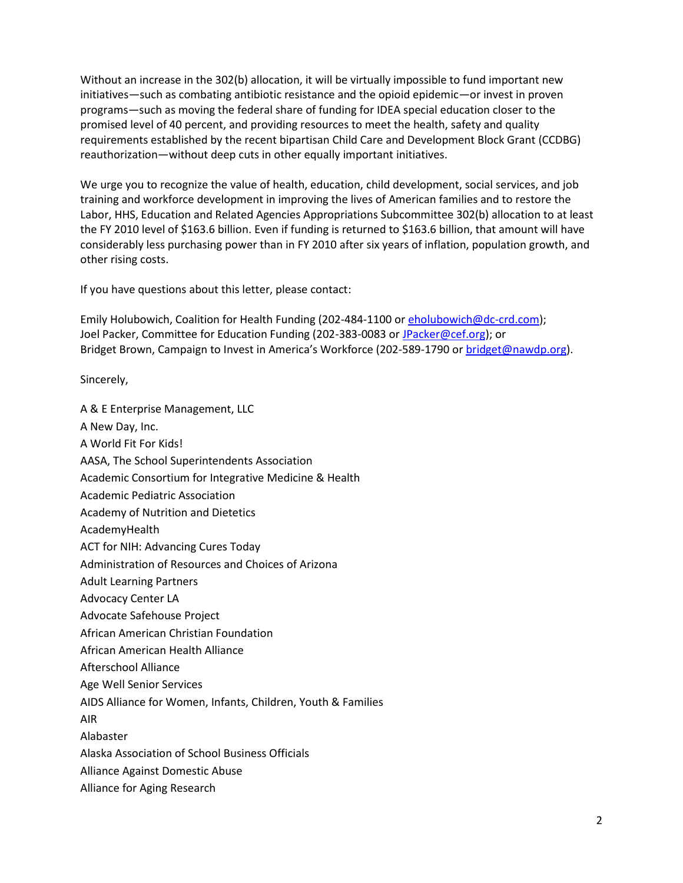Without an increase in the 302(b) allocation, it will be virtually impossible to fund important new initiatives—such as combating antibiotic resistance and the opioid epidemic—or invest in proven programs—such as moving the federal share of funding for IDEA special education closer to the promised level of 40 percent, and providing resources to meet the health, safety and quality requirements established by the recent bipartisan Child Care and Development Block Grant (CCDBG) reauthorization—without deep cuts in other equally important initiatives.

We urge you to recognize the value of health, education, child development, social services, and job training and workforce development in improving the lives of American families and to restore the Labor, HHS, Education and Related Agencies Appropriations Subcommittee 302(b) allocation to at least the FY 2010 level of \$163.6 billion. Even if funding is returned to \$163.6 billion, that amount will have considerably less purchasing power than in FY 2010 after six years of inflation, population growth, and other rising costs.

If you have questions about this letter, please contact:

Emily Holubowich, Coalition for Health Funding (202-484-1100 or [eholubowich@dc-crd.com\)](mailto:eholubowich@dc-crd.com); Joel Packer, Committee for Education Funding (202-383-0083 or [JPacker@cef.org\)](mailto:JPacker@cef.org); or Bridget Brown, Campaign to Invest in America's Workforce (202-589-1790 o[r bridget@nawdp.org\)](mailto:rachelg@nationalskillscoalition.org).

Sincerely,

A & E Enterprise Management, LLC A New Day, Inc. A World Fit For Kids! AASA, The School Superintendents Association Academic Consortium for Integrative Medicine & Health Academic Pediatric Association Academy of Nutrition and Dietetics AcademyHealth ACT for NIH: Advancing Cures Today Administration of Resources and Choices of Arizona Adult Learning Partners Advocacy Center LA Advocate Safehouse Project African American Christian Foundation

African American Health Alliance

Afterschool Alliance

Age Well Senior Services

AIDS Alliance for Women, Infants, Children, Youth & Families

AIR

Alabaster

Alaska Association of School Business Officials

Alliance Against Domestic Abuse

Alliance for Aging Research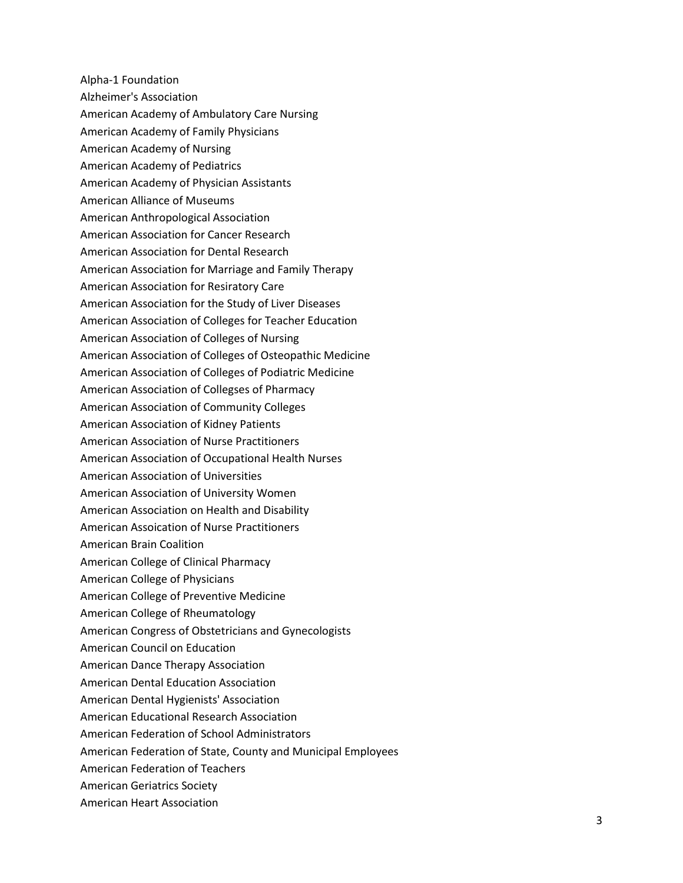Alpha-1 Foundation Alzheimer's Association American Academy of Ambulatory Care Nursing American Academy of Family Physicians American Academy of Nursing American Academy of Pediatrics American Academy of Physician Assistants American Alliance of Museums American Anthropological Association American Association for Cancer Research American Association for Dental Research American Association for Marriage and Family Therapy American Association for Resiratory Care American Association for the Study of Liver Diseases American Association of Colleges for Teacher Education American Association of Colleges of Nursing American Association of Colleges of Osteopathic Medicine American Association of Colleges of Podiatric Medicine American Association of Collegses of Pharmacy American Association of Community Colleges American Association of Kidney Patients American Association of Nurse Practitioners American Association of Occupational Health Nurses American Association of Universities American Association of University Women American Association on Health and Disability American Assoication of Nurse Practitioners American Brain Coalition American College of Clinical Pharmacy American College of Physicians American College of Preventive Medicine American College of Rheumatology American Congress of Obstetricians and Gynecologists American Council on Education American Dance Therapy Association American Dental Education Association American Dental Hygienists' Association American Educational Research Association American Federation of School Administrators American Federation of State, County and Municipal Employees American Federation of Teachers American Geriatrics Society American Heart Association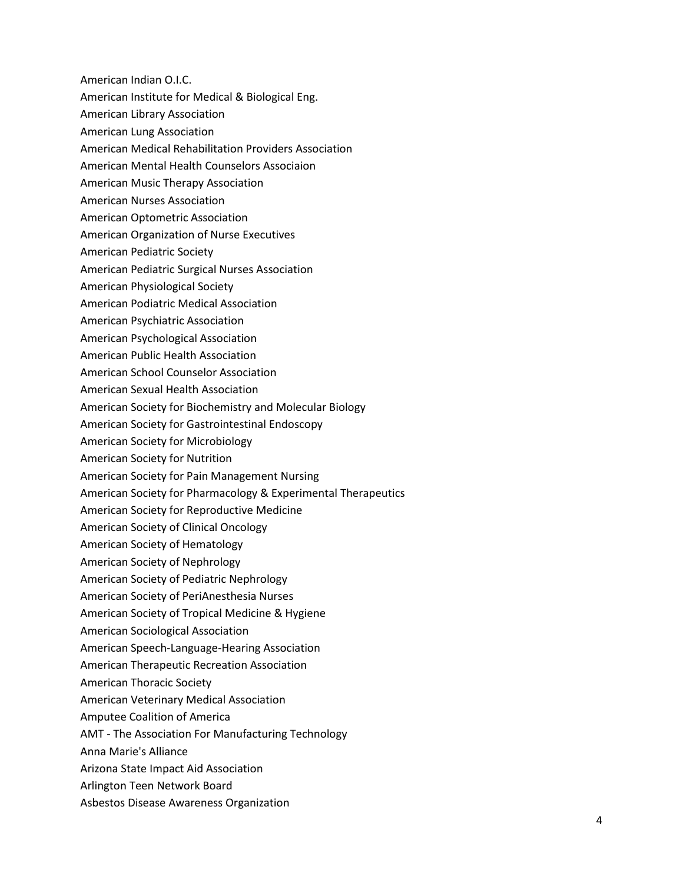American Indian O.I.C.

- American Institute for Medical & Biological Eng.
- American Library Association
- American Lung Association
- American Medical Rehabilitation Providers Association
- American Mental Health Counselors Associaion
- American Music Therapy Association
- American Nurses Association
- American Optometric Association
- American Organization of Nurse Executives
- American Pediatric Society
- American Pediatric Surgical Nurses Association
- American Physiological Society
- American Podiatric Medical Association
- American Psychiatric Association
- American Psychological Association
- American Public Health Association
- American School Counselor Association
- American Sexual Health Association
- American Society for Biochemistry and Molecular Biology
- American Society for Gastrointestinal Endoscopy
- American Society for Microbiology
- American Society for Nutrition
- American Society for Pain Management Nursing
- American Society for Pharmacology & Experimental Therapeutics
- American Society for Reproductive Medicine
- American Society of Clinical Oncology
- American Society of Hematology
- American Society of Nephrology
- American Society of Pediatric Nephrology
- American Society of PeriAnesthesia Nurses
- American Society of Tropical Medicine & Hygiene
- American Sociological Association
- American Speech-Language-Hearing Association
- American Therapeutic Recreation Association
- American Thoracic Society
- American Veterinary Medical Association
- Amputee Coalition of America
- AMT The Association For Manufacturing Technology
- Anna Marie's Alliance
- Arizona State Impact Aid Association
- Arlington Teen Network Board
- Asbestos Disease Awareness Organization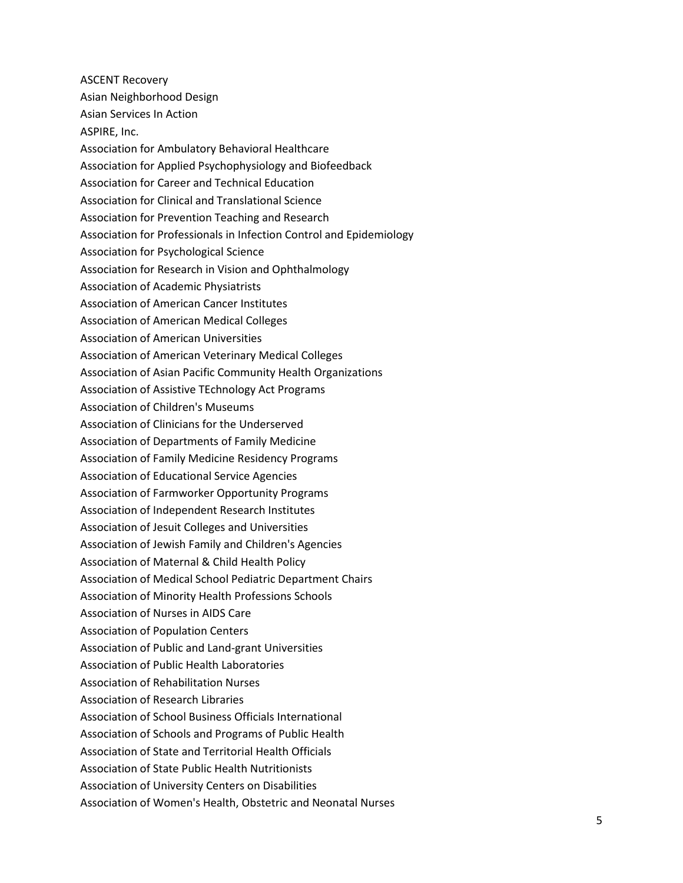ASCENT Recovery Asian Neighborhood Design Asian Services In Action ASPIRE, Inc. Association for Ambulatory Behavioral Healthcare Association for Applied Psychophysiology and Biofeedback Association for Career and Technical Education Association for Clinical and Translational Science Association for Prevention Teaching and Research Association for Professionals in Infection Control and Epidemiology Association for Psychological Science Association for Research in Vision and Ophthalmology Association of Academic Physiatrists Association of American Cancer Institutes Association of American Medical Colleges Association of American Universities Association of American Veterinary Medical Colleges Association of Asian Pacific Community Health Organizations Association of Assistive TEchnology Act Programs Association of Children's Museums Association of Clinicians for the Underserved Association of Departments of Family Medicine Association of Family Medicine Residency Programs Association of Educational Service Agencies Association of Farmworker Opportunity Programs Association of Independent Research Institutes Association of Jesuit Colleges and Universities Association of Jewish Family and Children's Agencies Association of Maternal & Child Health Policy Association of Medical School Pediatric Department Chairs Association of Minority Health Professions Schools Association of Nurses in AIDS Care Association of Population Centers Association of Public and Land-grant Universities Association of Public Health Laboratories Association of Rehabilitation Nurses Association of Research Libraries Association of School Business Officials International Association of Schools and Programs of Public Health Association of State and Territorial Health Officials Association of State Public Health Nutritionists Association of University Centers on Disabilities Association of Women's Health, Obstetric and Neonatal Nurses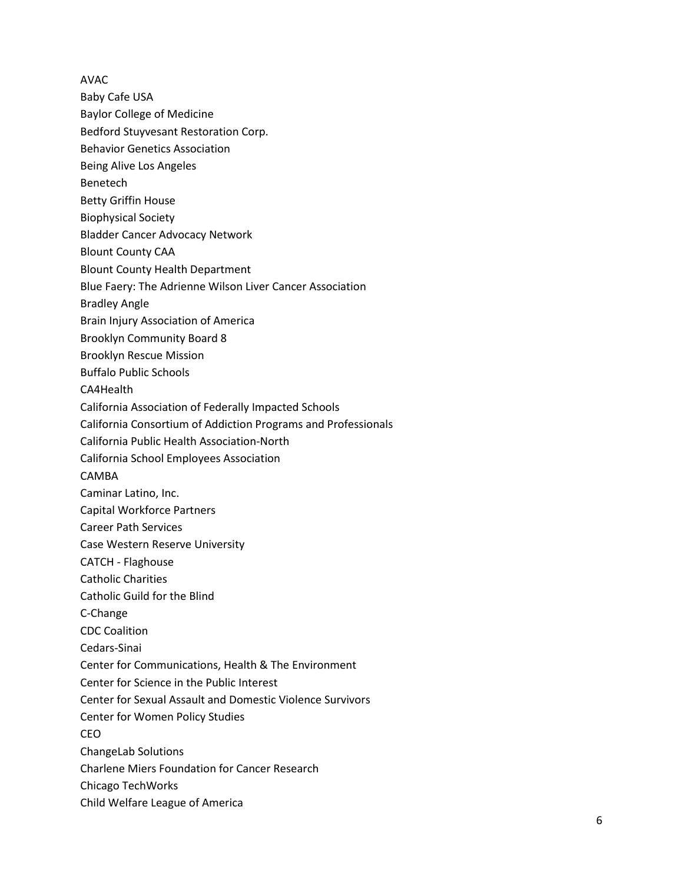AVAC

- Baby Cafe USA
- Baylor College of Medicine
- Bedford Stuyvesant Restoration Corp.
- Behavior Genetics Association
- Being Alive Los Angeles
- Benetech
- Betty Griffin House
- Biophysical Society
- Bladder Cancer Advocacy Network
- Blount County CAA
- Blount County Health Department
- Blue Faery: The Adrienne Wilson Liver Cancer Association
- Bradley Angle
- Brain Injury Association of America
- Brooklyn Community Board 8
- Brooklyn Rescue Mission
- Buffalo Public Schools
- CA4Health
- California Association of Federally Impacted Schools
- California Consortium of Addiction Programs and Professionals
- California Public Health Association-North
- California School Employees Association
- CAMBA
- Caminar Latino, Inc.
- Capital Workforce Partners
- Career Path Services
- Case Western Reserve University
- CATCH Flaghouse
- Catholic Charities
- Catholic Guild for the Blind
- C-Change
- CDC Coalition
- Cedars-Sinai
- Center for Communications, Health & The Environment
- Center for Science in the Public Interest
- Center for Sexual Assault and Domestic Violence Survivors
- Center for Women Policy Studies
- CEO
- ChangeLab Solutions
- Charlene Miers Foundation for Cancer Research
- Chicago TechWorks
- Child Welfare League of America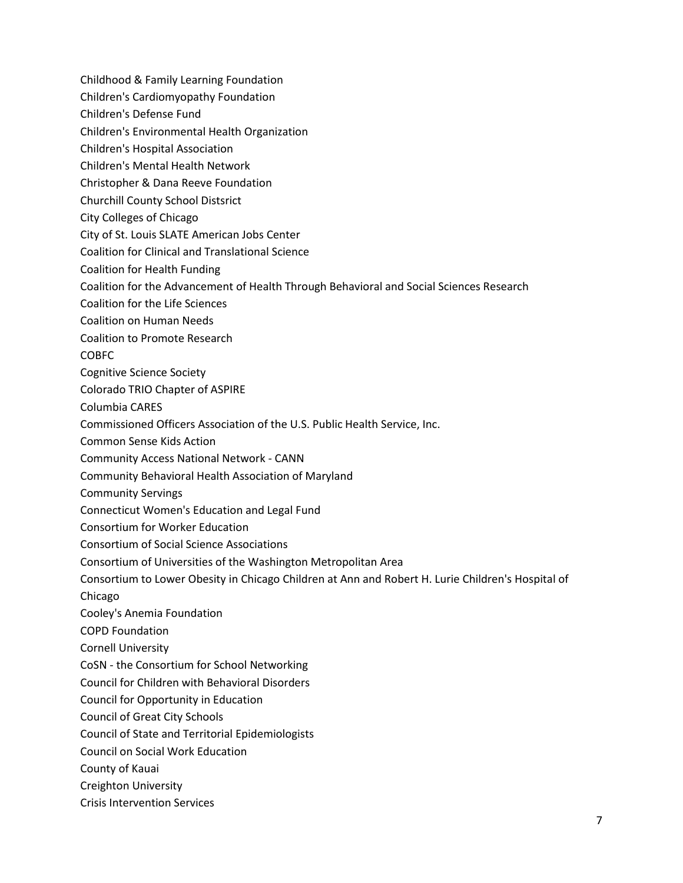- Childhood & Family Learning Foundation
- Children's Cardiomyopathy Foundation
- Children's Defense Fund
- Children's Environmental Health Organization
- Children's Hospital Association
- Children's Mental Health Network
- Christopher & Dana Reeve Foundation
- Churchill County School Distsrict
- City Colleges of Chicago
- City of St. Louis SLATE American Jobs Center
- Coalition for Clinical and Translational Science
- Coalition for Health Funding
- Coalition for the Advancement of Health Through Behavioral and Social Sciences Research
- Coalition for the Life Sciences
- Coalition on Human Needs
- Coalition to Promote Research
- COBFC
- Cognitive Science Society
- Colorado TRIO Chapter of ASPIRE
- Columbia CARES
- Commissioned Officers Association of the U.S. Public Health Service, Inc.
- Common Sense Kids Action
- Community Access National Network CANN
- Community Behavioral Health Association of Maryland
- Community Servings
- Connecticut Women's Education and Legal Fund
- Consortium for Worker Education
- Consortium of Social Science Associations
- Consortium of Universities of the Washington Metropolitan Area
- Consortium to Lower Obesity in Chicago Children at Ann and Robert H. Lurie Children's Hospital of
- Chicago
- Cooley's Anemia Foundation
- COPD Foundation
- Cornell University
- CoSN the Consortium for School Networking
- Council for Children with Behavioral Disorders
- Council for Opportunity in Education
- Council of Great City Schools
- Council of State and Territorial Epidemiologists
- Council on Social Work Education
- County of Kauai
- Creighton University
- Crisis Intervention Services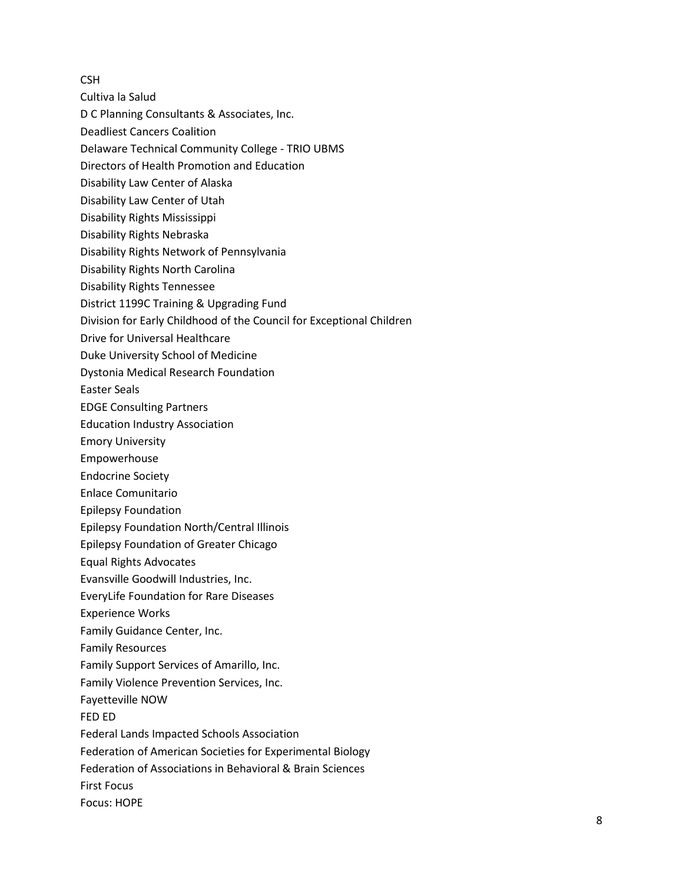**CSH** 

- Cultiva la Salud
- D C Planning Consultants & Associates, Inc.
- Deadliest Cancers Coalition
- Delaware Technical Community College TRIO UBMS
- Directors of Health Promotion and Education
- Disability Law Center of Alaska
- Disability Law Center of Utah
- Disability Rights Mississippi
- Disability Rights Nebraska
- Disability Rights Network of Pennsylvania
- Disability Rights North Carolina
- Disability Rights Tennessee
- District 1199C Training & Upgrading Fund
- Division for Early Childhood of the Council for Exceptional Children
- Drive for Universal Healthcare
- Duke University School of Medicine
- Dystonia Medical Research Foundation
- Easter Seals
- EDGE Consulting Partners
- Education Industry Association
- Emory University
- Empowerhouse
- Endocrine Society
- Enlace Comunitario
- Epilepsy Foundation
- Epilepsy Foundation North/Central Illinois
- Epilepsy Foundation of Greater Chicago
- Equal Rights Advocates
- Evansville Goodwill Industries, Inc.
- EveryLife Foundation for Rare Diseases
- Experience Works
- Family Guidance Center, Inc.
- Family Resources
- Family Support Services of Amarillo, Inc.
- Family Violence Prevention Services, Inc.
- Fayetteville NOW
- FED ED
- Federal Lands Impacted Schools Association
- Federation of American Societies for Experimental Biology
- Federation of Associations in Behavioral & Brain Sciences
- First Focus
- Focus: HOPE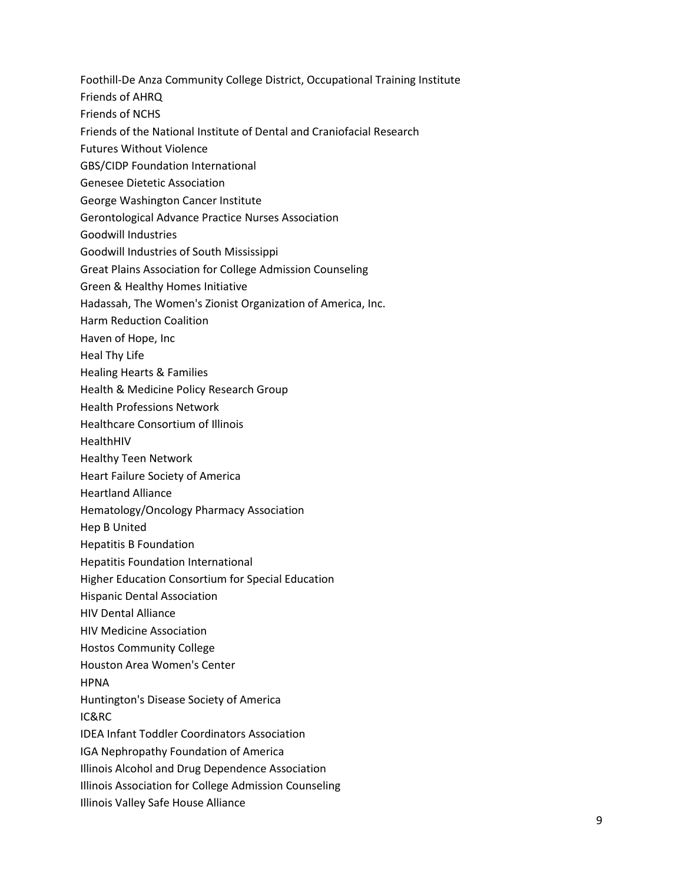Foothill-De Anza Community College District, Occupational Training Institute

Friends of AHRQ

Friends of NCHS

- Friends of the National Institute of Dental and Craniofacial Research
- Futures Without Violence
- GBS/CIDP Foundation International
- Genesee Dietetic Association
- George Washington Cancer Institute
- Gerontological Advance Practice Nurses Association
- Goodwill Industries
- Goodwill Industries of South Mississippi
- Great Plains Association for College Admission Counseling
- Green & Healthy Homes Initiative
- Hadassah, The Women's Zionist Organization of America, Inc.
- Harm Reduction Coalition
- Haven of Hope, Inc
- Heal Thy Life
- Healing Hearts & Families
- Health & Medicine Policy Research Group
- Health Professions Network
- Healthcare Consortium of Illinois
- HealthHIV
- Healthy Teen Network
- Heart Failure Society of America
- Heartland Alliance
- Hematology/Oncology Pharmacy Association
- Hep B United
- Hepatitis B Foundation
- Hepatitis Foundation International
- Higher Education Consortium for Special Education
- Hispanic Dental Association
- HIV Dental Alliance
- HIV Medicine Association
- Hostos Community College
- Houston Area Women's Center
- HPNA
- Huntington's Disease Society of America
- IC&RC
- IDEA Infant Toddler Coordinators Association
- IGA Nephropathy Foundation of America
- Illinois Alcohol and Drug Dependence Association
- Illinois Association for College Admission Counseling
- Illinois Valley Safe House Alliance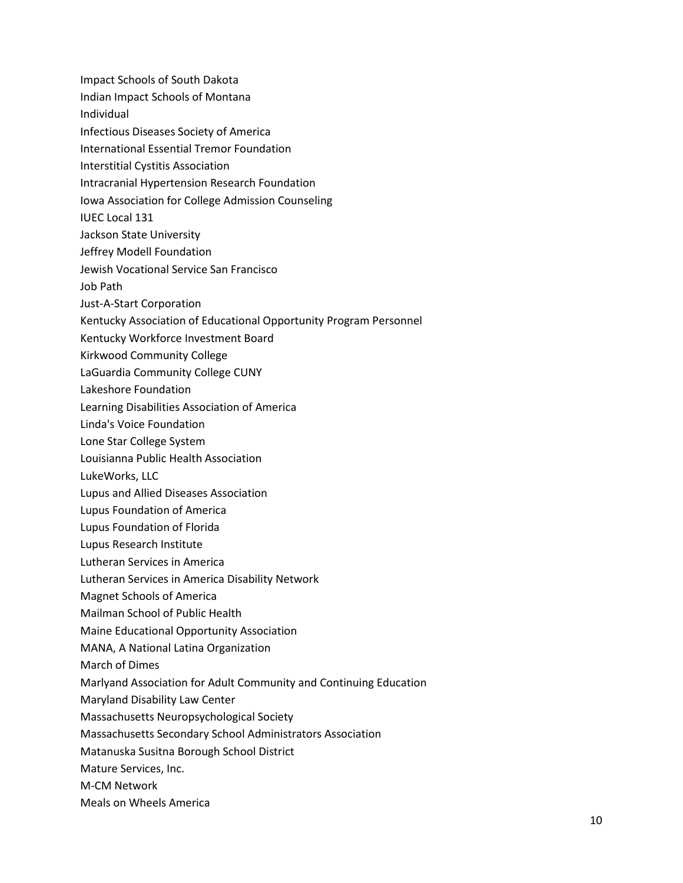Impact Schools of South Dakota Indian Impact Schools of Montana Individual Infectious Diseases Society of America International Essential Tremor Foundation Interstitial Cystitis Association Intracranial Hypertension Research Foundation Iowa Association for College Admission Counseling IUEC Local 131 Jackson State University Jeffrey Modell Foundation Jewish Vocational Service San Francisco Job Path Just-A-Start Corporation Kentucky Association of Educational Opportunity Program Personnel Kentucky Workforce Investment Board Kirkwood Community College LaGuardia Community College CUNY Lakeshore Foundation Learning Disabilities Association of America Linda's Voice Foundation Lone Star College System Louisianna Public Health Association LukeWorks, LLC Lupus and Allied Diseases Association Lupus Foundation of America Lupus Foundation of Florida Lupus Research Institute Lutheran Services in America Lutheran Services in America Disability Network Magnet Schools of America Mailman School of Public Health Maine Educational Opportunity Association MANA, A National Latina Organization

March of Dimes

Marlyand Association for Adult Community and Continuing Education

Maryland Disability Law Center

Massachusetts Neuropsychological Society

Massachusetts Secondary School Administrators Association

Matanuska Susitna Borough School District

Mature Services, Inc.

M-CM Network

Meals on Wheels America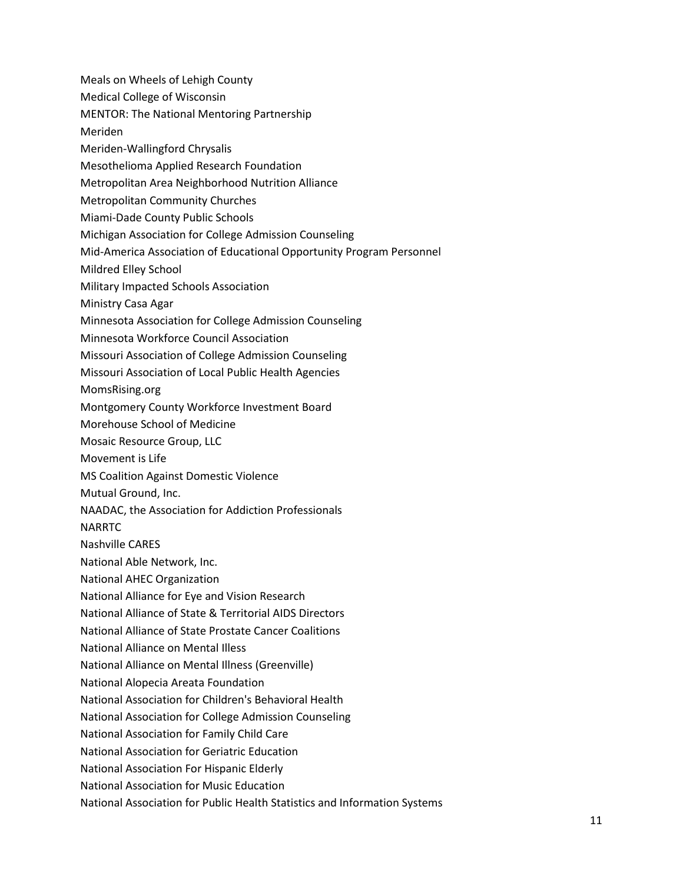- Meals on Wheels of Lehigh County
- Medical College of Wisconsin
- MENTOR: The National Mentoring Partnership
- Meriden
- Meriden-Wallingford Chrysalis
- Mesothelioma Applied Research Foundation
- Metropolitan Area Neighborhood Nutrition Alliance
- Metropolitan Community Churches
- Miami-Dade County Public Schools
- Michigan Association for College Admission Counseling
- Mid-America Association of Educational Opportunity Program Personnel
- Mildred Elley School
- Military Impacted Schools Association
- Ministry Casa Agar
- Minnesota Association for College Admission Counseling
- Minnesota Workforce Council Association
- Missouri Association of College Admission Counseling
- Missouri Association of Local Public Health Agencies
- MomsRising.org
- Montgomery County Workforce Investment Board
- Morehouse School of Medicine
- Mosaic Resource Group, LLC
- Movement is Life
- MS Coalition Against Domestic Violence
- Mutual Ground, Inc.
- NAADAC, the Association for Addiction Professionals
- NARRTC
- Nashville CARES
- National Able Network, Inc.
- National AHEC Organization
- National Alliance for Eye and Vision Research
- National Alliance of State & Territorial AIDS Directors
- National Alliance of State Prostate Cancer Coalitions
- National Alliance on Mental Illess
- National Alliance on Mental Illness (Greenville)
- National Alopecia Areata Foundation
- National Association for Children's Behavioral Health
- National Association for College Admission Counseling
- National Association for Family Child Care
- National Association for Geriatric Education
- National Association For Hispanic Elderly
- National Association for Music Education
- National Association for Public Health Statistics and Information Systems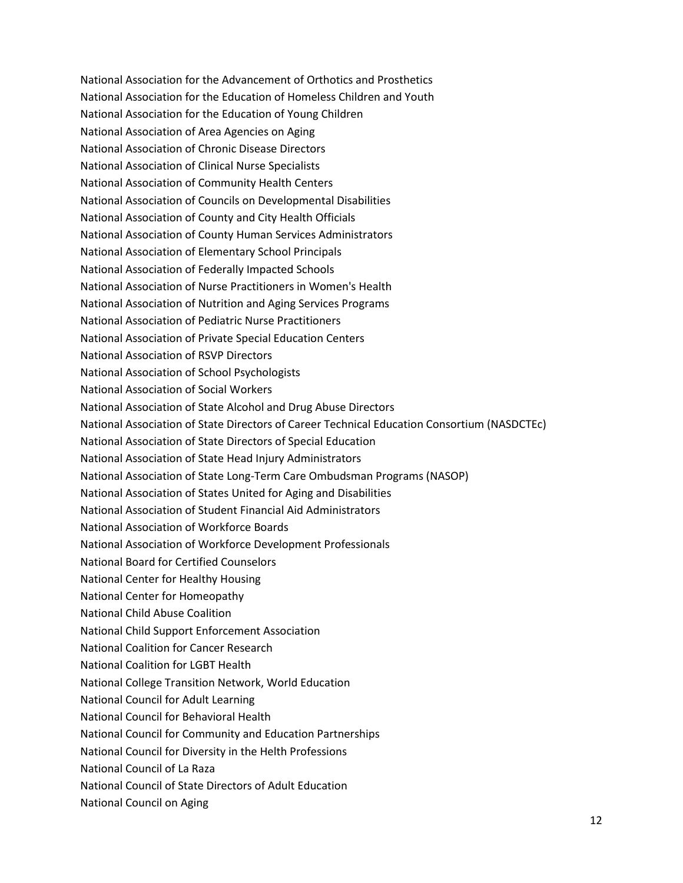National Association for the Advancement of Orthotics and Prosthetics National Association for the Education of Homeless Children and Youth National Association for the Education of Young Children National Association of Area Agencies on Aging National Association of Chronic Disease Directors National Association of Clinical Nurse Specialists National Association of Community Health Centers National Association of Councils on Developmental Disabilities National Association of County and City Health Officials National Association of County Human Services Administrators National Association of Elementary School Principals National Association of Federally Impacted Schools National Association of Nurse Practitioners in Women's Health National Association of Nutrition and Aging Services Programs National Association of Pediatric Nurse Practitioners National Association of Private Special Education Centers National Association of RSVP Directors National Association of School Psychologists National Association of Social Workers National Association of State Alcohol and Drug Abuse Directors National Association of State Directors of Career Technical Education Consortium (NASDCTEc) National Association of State Directors of Special Education National Association of State Head Injury Administrators National Association of State Long-Term Care Ombudsman Programs (NASOP) National Association of States United for Aging and Disabilities National Association of Student Financial Aid Administrators National Association of Workforce Boards National Association of Workforce Development Professionals National Board for Certified Counselors National Center for Healthy Housing National Center for Homeopathy National Child Abuse Coalition National Child Support Enforcement Association National Coalition for Cancer Research National Coalition for LGBT Health National College Transition Network, World Education National Council for Adult Learning National Council for Behavioral Health National Council for Community and Education Partnerships National Council for Diversity in the Helth Professions National Council of La Raza National Council of State Directors of Adult Education National Council on Aging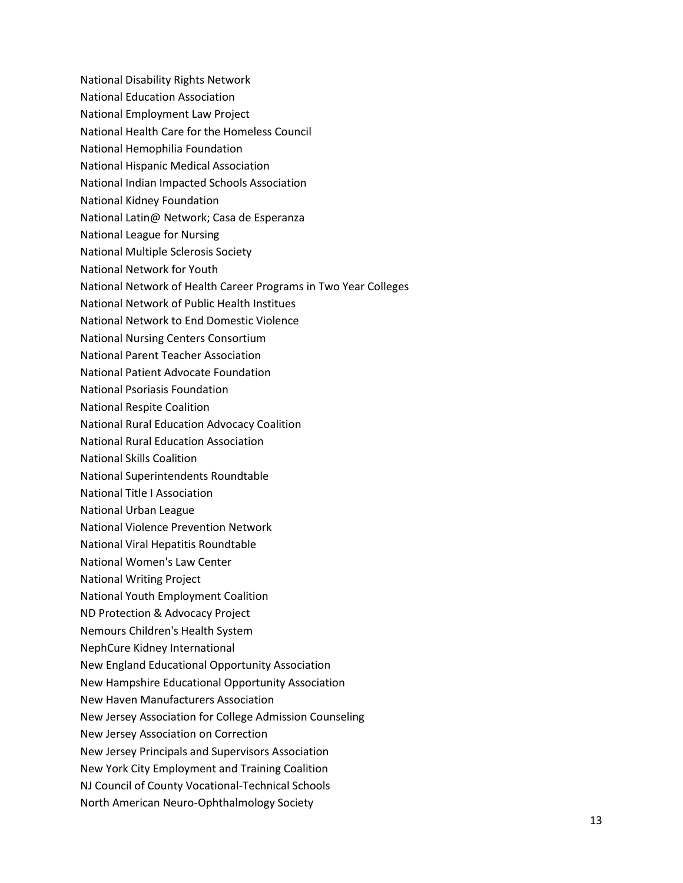National Disability Rights Network National Education Association National Employment Law Project National Health Care for the Homeless Council National Hemophilia Foundation National Hispanic Medical Association National Indian Impacted Schools Association National Kidney Foundation National Latin@ Network; Casa de Esperanza National League for Nursing National Multiple Sclerosis Society National Network for Youth National Network of Health Career Programs in Two Year Colleges National Network of Public Health Institues National Network to End Domestic Violence National Nursing Centers Consortium National Parent Teacher Association National Patient Advocate Foundation National Psoriasis Foundation National Respite Coalition National Rural Education Advocacy Coalition National Rural Education Association National Skills Coalition National Superintendents Roundtable National Title I Association National Urban League National Violence Prevention Network National Viral Hepatitis Roundtable National Women's Law Center National Writing Project National Youth Employment Coalition ND Protection & Advocacy Project Nemours Children's Health System NephCure Kidney International New England Educational Opportunity Association New Hampshire Educational Opportunity Association New Haven Manufacturers Association New Jersey Association for College Admission Counseling New Jersey Association on Correction New Jersey Principals and Supervisors Association New York City Employment and Training Coalition NJ Council of County Vocational-Technical Schools North American Neuro-Ophthalmology Society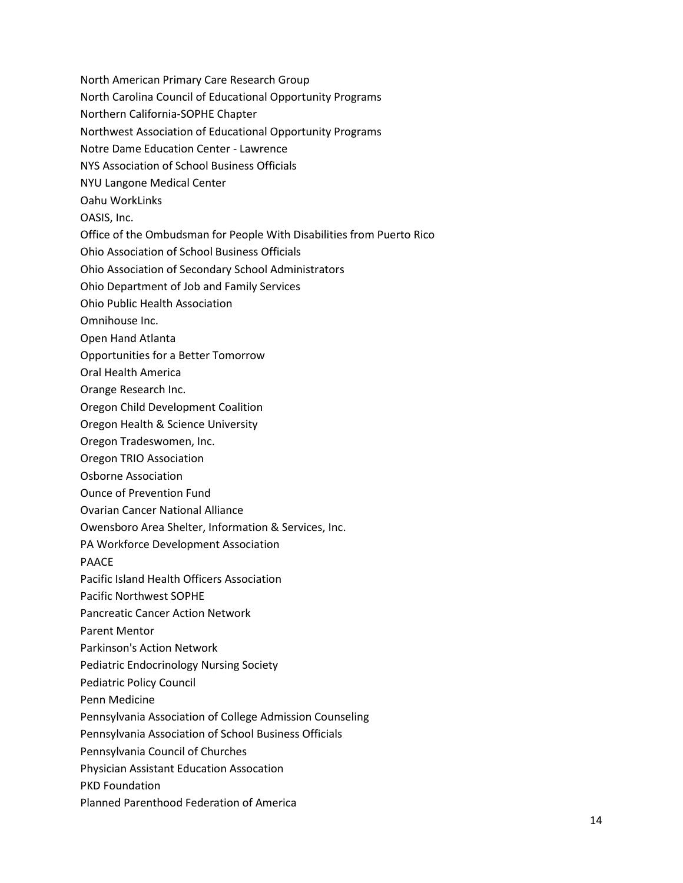- North American Primary Care Research Group
- North Carolina Council of Educational Opportunity Programs
- Northern California-SOPHE Chapter
- Northwest Association of Educational Opportunity Programs
- Notre Dame Education Center Lawrence
- NYS Association of School Business Officials
- NYU Langone Medical Center
- Oahu WorkLinks
- OASIS, Inc.
- Office of the Ombudsman for People With Disabilities from Puerto Rico
- Ohio Association of School Business Officials
- Ohio Association of Secondary School Administrators
- Ohio Department of Job and Family Services
- Ohio Public Health Association
- Omnihouse Inc.
- Open Hand Atlanta
- Opportunities for a Better Tomorrow
- Oral Health America
- Orange Research Inc.
- Oregon Child Development Coalition
- Oregon Health & Science University
- Oregon Tradeswomen, Inc.
- Oregon TRIO Association
- Osborne Association
- Ounce of Prevention Fund
- Ovarian Cancer National Alliance
- Owensboro Area Shelter, Information & Services, Inc.
- PA Workforce Development Association
- PAACE
- Pacific Island Health Officers Association
- Pacific Northwest SOPHE
- Pancreatic Cancer Action Network
- Parent Mentor
- Parkinson's Action Network
- Pediatric Endocrinology Nursing Society
- Pediatric Policy Council
- Penn Medicine
- Pennsylvania Association of College Admission Counseling
- Pennsylvania Association of School Business Officials
- Pennsylvania Council of Churches
- Physician Assistant Education Assocation
- PKD Foundation
- Planned Parenthood Federation of America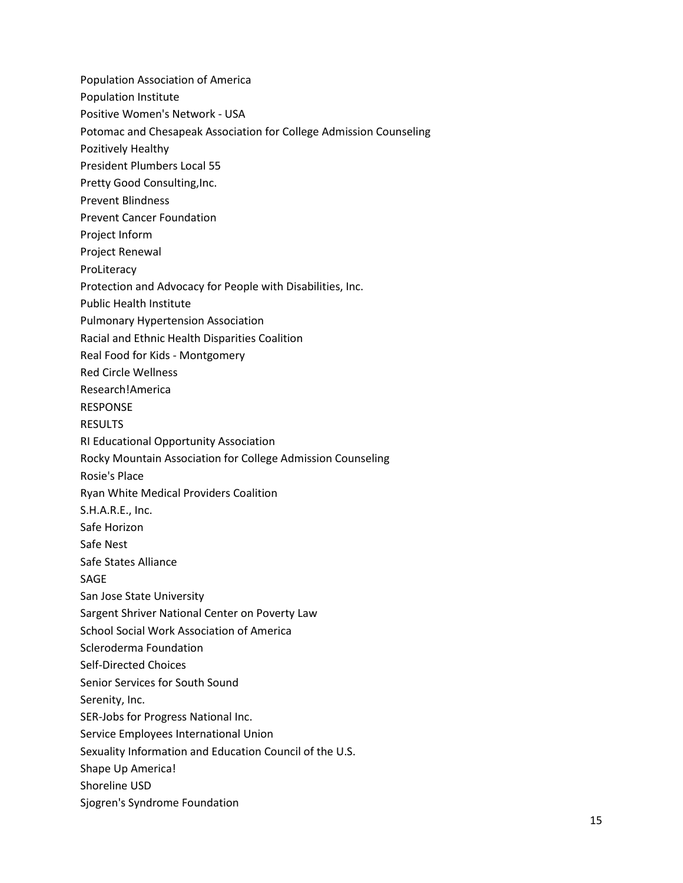Population Association of America Population Institute Positive Women's Network - USA Potomac and Chesapeak Association for College Admission Counseling Pozitively Healthy President Plumbers Local 55 Pretty Good Consulting, Inc. Prevent Blindness Prevent Cancer Foundation Project Inform Project Renewal ProLiteracy Protection and Advocacy for People with Disabilities, Inc. Public Health Institute Pulmonary Hypertension Association Racial and Ethnic Health Disparities Coalition Real Food for Kids - Montgomery Red Circle Wellness Research!America RESPONSE RESULTS RI Educational Opportunity Association Rocky Mountain Association for College Admission Counseling Rosie's Place Ryan White Medical Providers Coalition S.H.A.R.E., Inc. Safe Horizon Safe Nest Safe States Alliance SAGE San Jose State University Sargent Shriver National Center on Poverty Law School Social Work Association of America Scleroderma Foundation Self-Directed Choices Senior Services for South Sound Serenity, Inc. SER-Jobs for Progress National Inc. Service Employees International Union Sexuality Information and Education Council of the U.S. Shape Up America! Shoreline USD Sjogren's Syndrome Foundation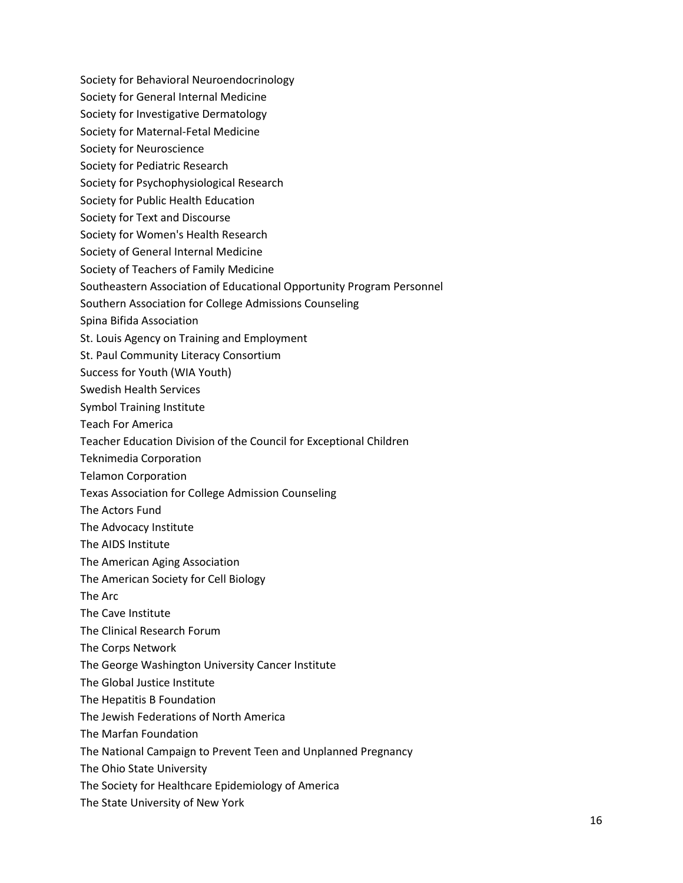Society for Behavioral Neuroendocrinology Society for General Internal Medicine Society for Investigative Dermatology Society for Maternal-Fetal Medicine Society for Neuroscience Society for Pediatric Research Society for Psychophysiological Research Society for Public Health Education Society for Text and Discourse Society for Women's Health Research Society of General Internal Medicine Society of Teachers of Family Medicine Southeastern Association of Educational Opportunity Program Personnel Southern Association for College Admissions Counseling Spina Bifida Association St. Louis Agency on Training and Employment St. Paul Community Literacy Consortium Success for Youth (WIA Youth) Swedish Health Services Symbol Training Institute Teach For America Teacher Education Division of the Council for Exceptional Children Teknimedia Corporation Telamon Corporation Texas Association for College Admission Counseling The Actors Fund The Advocacy Institute The AIDS Institute The American Aging Association The American Society for Cell Biology The Arc The Cave Institute The Clinical Research Forum The Corps Network The George Washington University Cancer Institute The Global Justice Institute The Hepatitis B Foundation The Jewish Federations of North America The Marfan Foundation The National Campaign to Prevent Teen and Unplanned Pregnancy The Ohio State University The Society for Healthcare Epidemiology of America

The State University of New York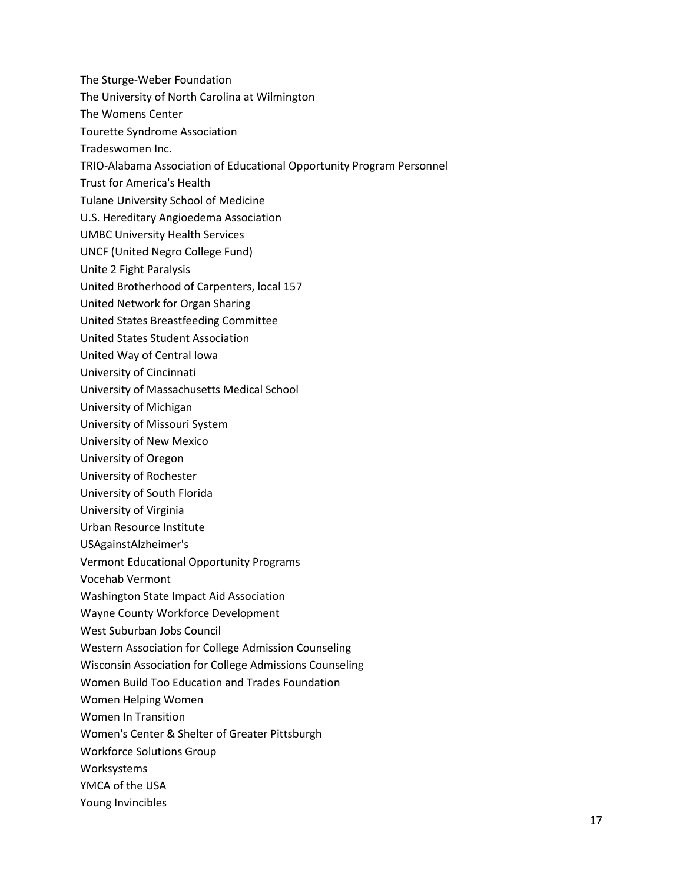- The Sturge-Weber Foundation
- The University of North Carolina at Wilmington
- The Womens Center
- Tourette Syndrome Association
- Tradeswomen Inc.
- TRIO-Alabama Association of Educational Opportunity Program Personnel
- Trust for America's Health
- Tulane University School of Medicine
- U.S. Hereditary Angioedema Association
- UMBC University Health Services
- UNCF (United Negro College Fund)
- Unite 2 Fight Paralysis
- United Brotherhood of Carpenters, local 157
- United Network for Organ Sharing
- United States Breastfeeding Committee
- United States Student Association
- United Way of Central Iowa
- University of Cincinnati
- University of Massachusetts Medical School
- University of Michigan
- University of Missouri System
- University of New Mexico
- University of Oregon
- University of Rochester
- University of South Florida
- University of Virginia
- Urban Resource Institute
- USAgainstAlzheimer's
- Vermont Educational Opportunity Programs
- Vocehab Vermont
- Washington State Impact Aid Association
- Wayne County Workforce Development
- West Suburban Jobs Council
- Western Association for College Admission Counseling
- Wisconsin Association for College Admissions Counseling
- Women Build Too Education and Trades Foundation
- Women Helping Women
- Women In Transition
- Women's Center & Shelter of Greater Pittsburgh
- Workforce Solutions Group
- Worksystems
- YMCA of the USA
- Young Invincibles